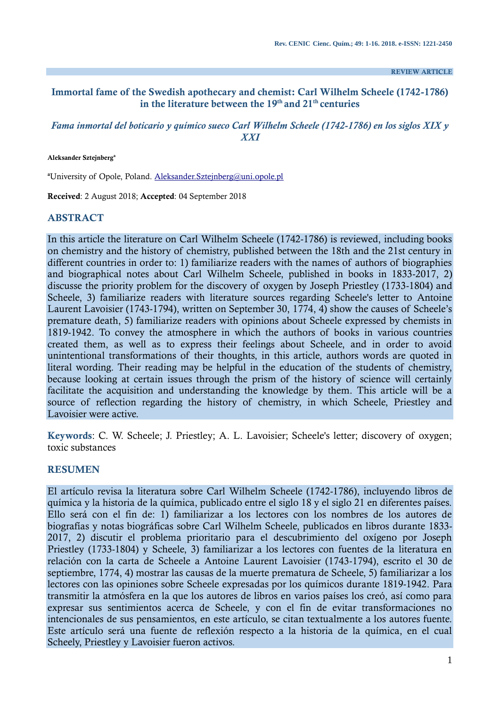**REVIEW ARTICLE**

# **Immortal fame of the Swedish apothecary and chemist: Carl Wilhelm Scheele (1742-1786) in the literature between the 19th and 21th centuries**

## *Fama inmortal del boticario y químico sueco Carl Wilhelm Scheele (1742-1786) en los siglos XIX y XXI*

**Aleksander Sztejnberg<sup>a</sup>**

**<sup>a</sup>**University of Opole, Poland. [Aleksander.Sztejnberg@uni.opole.pl](mailto:Aleksander.Sztejnberg@uni.opole.pl)

**Received**: 2 August 2018; **Accepted**: 04 September 2018

### **ABSTRACT**

In this article the literature on Carl Wilhelm Scheele (1742-1786) is reviewed, including books on chemistry and the history of chemistry, published between the 18th and the 21st century in different countries in order to: 1) familiarize readers with the names of authors of biographies and biographical notes about Carl Wilhelm Scheele, published in books in 1833-2017, 2) discusse the priority problem for the discovery of oxygen by Joseph Priestley (1733-1804) and Scheele, 3) familiarize readers with literature sources regarding Scheele's letter to Antoine Laurent Lavoisier (1743-1794), written on September 30, 1774, 4) show the causes of Scheele's premature death, 5) familiarize readers with opinions about Scheele expressed by chemists in 1819-1942. To convey the atmosphere in which the authors of books in various countries created them, as well as to express their feelings about Scheele, and in order to avoid unintentional transformations of their thoughts, in this article, authors words are quoted in literal wording. Their reading may be helpful in the education of the students of chemistry, because looking at certain issues through the prism of the history of science will certainly facilitate the acquisition and understanding the knowledge by them. This article will be a source of reflection regarding the history of chemistry, in which Scheele, Priestley and Lavoisier were active.

**Keywords**: C. W. Scheele; J. Priestley; A. L. Lavoisier; Scheele's letter; discovery of oxygen; toxic substances

#### **RESUMEN**

El artículo revisa la literatura sobre Carl Wilhelm Scheele (1742-1786), incluyendo libros de química y la historia de la química, publicado entre el siglo 18 y el siglo 21 en diferentes países. Ello será con el fin de: 1) familiarizar a los lectores con los nombres de los autores de biografías y notas biográficas sobre Carl Wilhelm Scheele, publicados en libros durante 1833- 2017, 2) discutir el problema prioritario para el descubrimiento del oxígeno por Joseph Priestley (1733-1804) y Scheele, 3) familiarizar a los lectores con fuentes de la literatura en relación con la carta de Scheele a Antoine Laurent Lavoisier (1743-1794), escrito el 30 de septiembre, 1774, 4) mostrar las causas de la muerte prematura de Scheele, 5) familiarizar a los lectores con las opiniones sobre Scheele expresadas por los químicos durante 1819-1942. Para transmitir la atmósfera en la que los autores de libros en varios países los creó, así como para expresar sus sentimientos acerca de Scheele, y con el fin de evitar transformaciones no intencionales de sus pensamientos, en este artículo, se citan textualmente a los autores fuente. Este artículo será una fuente de reflexión respecto a la historia de la química, en el cual Scheely, Priestley y Lavoisier fueron activos.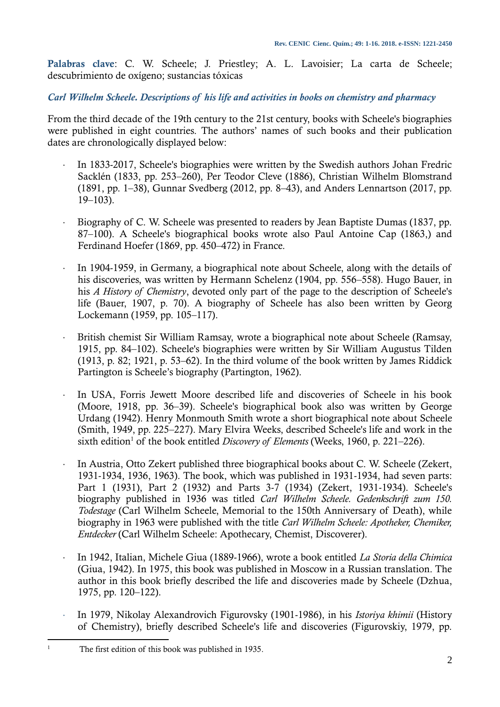**Palabras clave**: C. W. Scheele; J. Priestley; A. L. Lavoisier; La carta de Scheele; descubrimiento de oxígeno; sustancias tóxicas

# *Carl Wilhelm Scheele. Descriptions of his life and activities in books on chemistry and pharmacy*

From the third decade of the 19th century to the 21st century, books with Scheele's biographies were published in eight countries. The authors' names of such books and their publication dates are chronologically displayed below:

- In 1833-2017, Scheele's biographies were written by the Swedish authors Johan Fredric Sacklén (1833, pp. 253–260), Per Teodor Cleve (1886), Christian Wilhelm Blomstrand (1891, pp. 1–38), Gunnar Svedberg (2012, pp. 8–43), and Anders Lennartson (2017, pp. 19–103).
- Biography of C. W. Scheele was presented to readers by Jean Baptiste Dumas (1837, pp. 87–100). A Scheele's biographical books wrote also Paul Antoine Cap (1863,) and Ferdinand Hoefer (1869, pp. 450–472) in France.
- In 1904-1959, in Germany, a biographical note about Scheele, along with the details of his discoveries, was written by Hermann Schelenz (1904, pp. 556–558). Hugo Bauer, in his *A History of Chemistry*, devoted only part of the page to the description of Scheele's life (Bauer, 1907, p. 70). A biography of Scheele has also been written by Georg Lockemann (1959, pp. 105–117).
- British chemist Sir William Ramsay, wrote a biographical note about Scheele (Ramsay, 1915, pp. 84–102). Scheele's biographies were written by Sir William Augustus Tilden (1913, p. 82; 1921, p. 53–62). In the third volume of the book written by James Riddick Partington is Scheele's biography (Partington, 1962).
- In USA, Forris Jewett Moore described life and discoveries of Scheele in his book (Moore, 1918, pp. 36–39). Scheele's biographical book also was written by George Urdang (1942). Henry Monmouth Smith wrote a short biographical note about Scheele (Smith, 1949, pp. 225–227). Mary Elvira Weeks, described Scheele's life and work in the sixth edition<sup>1</sup> of the book entitled *Discovery of Elements* (Weeks, 1960, p. 221–226).
- In Austria, Otto Zekert published three biographical books about C. W. Scheele (Zekert, 1931-1934, 1936, 1963). The book, which was published in 1931-1934, had seven parts: Part 1 (1931), Part 2 (1932) and Parts 3-7 (1934) (Zekert, 1931-1934). Scheele's biography published in 1936 was titled *Carl Wilhelm Scheele. Gedenkschrift zum 150. Todestage* (Carl Wilhelm Scheele, Memorial to the 150th Anniversary of Death), while biography in 1963 were published with the title *Carl Wilhelm Scheele: Apotheker, Chemiker, Entdecker* (Carl Wilhelm Scheele: Apothecary, Chemist, Discoverer).
- In 1942, Italian, Michele Giua (1889-1966), wrote a book entitled *La Storia della Chimica* (Giua, 1942). In 1975, this book was published in Moscow in a Russian translation. The author in this book briefly described the life and discoveries made by Scheele (Dzhua, 1975, pp. 120–122).
- In 1979, Nikolay Alexandrovich Figurovsky (1901-1986), in his *Istoriya khimii* (History of Chemistry), briefly described Scheele's life and discoveries (Figurovskiy, 1979, pp.

 $\mathbf{1}$ 

The first edition of this book was published in 1935.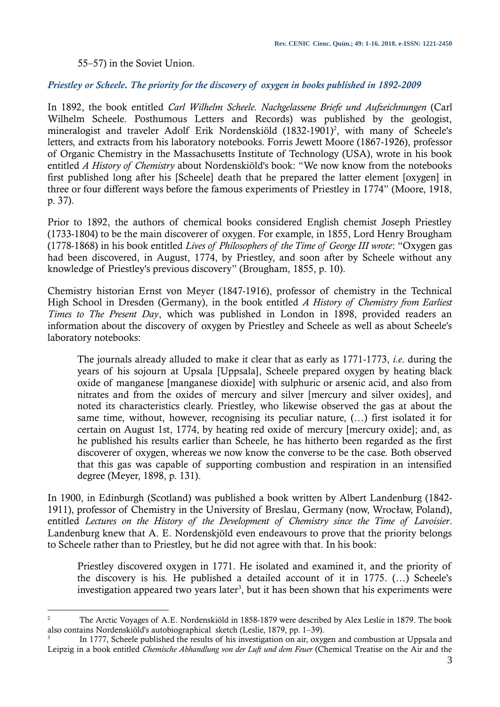# 55–57) in the Soviet Union.

1

# *Priestley or Scheele. The priority for the discovery of oxygen in books published in 1892-2009*

In 1892, the book entitled *Carl Wilhelm Scheele. Nachgelassene Briefe und Aufzeichnungen* (Carl Wilhelm Scheele. Posthumous Letters and Records) was published by the geologist, mineralogist and traveler Adolf Erik Nordenskiöld  $(1832-1901)^2$ , with many of Scheele's letters, and extracts from his laboratory notebooks. Forris Jewett Moore (1867-1926), professor of Organic Chemistry in the Massachusetts Institute of Technology (USA), wrote in his book entitled *A History of Chemistry* about Nordenskiöld's book: "We now know from the notebooks first published long after his [Scheele] death that he prepared the latter element [oxygen] in three or four different ways before the famous experiments of Priestley in 1774" (Moore, 1918, p. 37).

Prior to 1892, the authors of chemical books considered English chemist Joseph Priestley (1733-1804) to be the main discoverer of oxygen. For example, in 1855, Lord Henry Brougham (1778-1868) in his book entitled *Lives of Philosophers of the Time of George III wrote*: "Oxygen gas had been discovered, in August, 1774, by Priestley, and soon after by Scheele without any knowledge of Priestley's previous discovery" (Brougham, 1855, p. 10).

Chemistry historian Ernst von Meyer (1847-1916), professor of chemistry in the Technical High School in Dresden (Germany), in the book entitled *A History of Chemistry from Earliest Times to The Present Day*, which was published in London in 1898, provided readers an information about the discovery of oxygen by Priestley and Scheele as well as about Scheele's laboratory notebooks:

The journals already alluded to make it clear that as early as 1771-1773, *i.e*. during the years of his sojourn at Upsala [Uppsala], Scheele prepared oxygen by heating black oxide of manganese [manganese dioxide] with sulphuric or arsenic acid, and also from nitrates and from the oxides of mercury and silver [mercury and silver oxides], and noted its characteristics clearly. Priestley, who likewise observed the gas at about the same time, without, however, recognising its peculiar nature, (…) first isolated it for certain on August 1st, 1774, by heating red oxide of mercury [mercury oxide]; and, as he published his results earlier than Scheele, he has hitherto been regarded as the first discoverer of oxygen, whereas we now know the converse to be the case. Both observed that this gas was capable of supporting combustion and respiration in an intensified degree (Meyer, 1898, p. 131).

In 1900, in Edinburgh (Scotland) was published a book written by Albert Landenburg (1842- 1911), professor of Chemistry in the University of Breslau, Germany (now, Wrocław, Poland), entitled *Lectures on the History of the Development of Chemistry since the Time of Lavoisier*. Landenburg knew that A. E. Nordenskjöld even endeavours to prove that the priority belongs to Scheele rather than to Priestley, but he did not agree with that. In his book:

Priestley discovered oxygen in 1771. He isolated and examined it, and the priority of the discovery is his. He published a detailed account of it in 1775. (…) Scheele's investigation appeared two years later<sup>3</sup>, but it has been shown that his experiments were

<sup>&</sup>lt;sup>2</sup> The Arctic Voyages of A.E. Nordenskiöld in 1858-1879 were described by Alex Leslie in 1879. The book also contains Nordenskiöld's autobiographical sketch (Leslie, 1879, pp. 1–39).

<sup>3</sup> In 1777, Scheele published the results of his investigation on air, oxygen and combustion at Uppsala and Leipzig in a book entitled *Chemische Abhandlung von der Luft und dem Feuer* (Chemical Treatise on the Air and the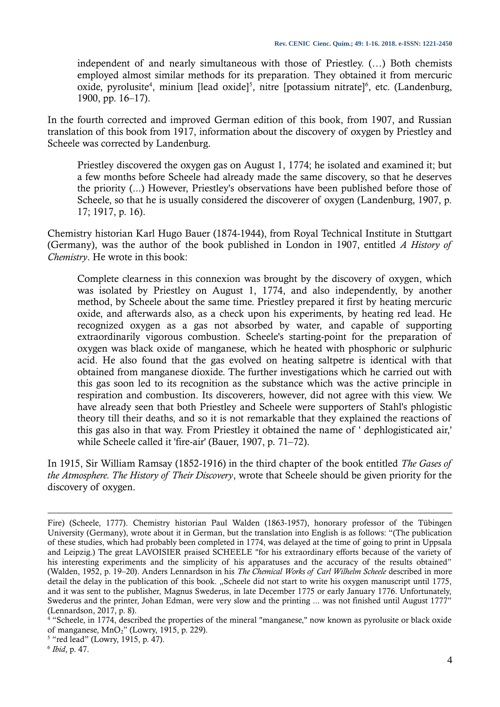independent of and nearly simultaneous with those of Priestley. (…) Both chemists employed almost similar methods for its preparation. They obtained it from mercuric oxide, pyrolusite<sup>4</sup>, minium [lead oxide]<sup>5</sup>, nitre [potassium nitrate]<sup>6</sup>, etc. (Landenburg, 1900, pp. 16–17).

In the fourth corrected and improved German edition of this book, from 1907, and Russian translation of this book from 1917, information about the discovery of oxygen by Priestley and Scheele was corrected by Landenburg.

Priestley discovered the oxygen gas on August 1, 1774; he isolated and examined it; but a few months before Scheele had already made the same discovery, so that he deserves the priority (...) However, Priestley's observations have been published before those of Scheele, so that he is usually considered the discoverer of oxygen (Landenburg, 1907, p. 17; 1917, p. 16).

Chemistry historian Karl Hugo Bauer (1874-1944), from Royal Technical Institute in Stuttgart (Germany), was the author of the book published in London in 1907, entitled *A History of Chemistry*. He wrote in this book:

Complete clearness in this connexion was brought by the discovery of oxygen, which was isolated by Priestley on August 1, 1774, and also independently, by another method, by Scheele about the same time. Priestley prepared it first by heating mercuric oxide, and afterwards also, as a check upon his experiments, by heating red lead. He recognized oxygen as a gas not absorbed by water, and capable of supporting extraordinarily vigorous combustion. Scheele's starting-point for the preparation of oxygen was black oxide of manganese, which he heated with phosphoric or sulphuric acid. He also found that the gas evolved on heating saltpetre is identical with that obtained from manganese dioxide. The further investigations which he carried out with this gas soon led to its recognition as the substance which was the active principle in respiration and combustion. Its discoverers, however, did not agree with this view. We have already seen that both Priestley and Scheele were supporters of Stahl's phlogistic theory till their deaths, and so it is not remarkable that they explained the reactions of this gas also in that way. From Priestley it obtained the name of ' dephlogisticated air,' while Scheele called it 'fire-air' (Bauer, 1907, p. 71–72).

In 1915, Sir William Ramsay (1852-1916) in the third chapter of the book entitled *The Gases of the Atmosphere. The History of Their Discovery*, wrote that Scheele should be given priority for the discovery of oxygen.

Fire) (Scheele, 1777). Chemistry historian Paul Walden (1863-1957), honorary professor of the Tübingen University (Germany), wrote about it in German, but the translation into English is as follows: "(The publication of these studies, which had probably been completed in 1774, was delayed at the time of going to print in Uppsala and Leipzig.) The great LAVOISIER praised SCHEELE "for his extraordinary efforts because of the variety of his interesting experiments and the simplicity of his apparatuses and the accuracy of the results obtained" (Walden, 1952, p. 19–20). Anders Lennardson in his *The Chemical Works of Carl Wilhelm Scheele* described in more detail the delay in the publication of this book. "Scheele did not start to write his oxygen manuscript until 1775, and it was sent to the publisher, Magnus Swederus, in late December 1775 or early January 1776. Unfortunately, Swederus and the printer, Johan Edman, were very slow and the printing ... was not finished until August 1777" (Lennardson, 2017, p. 8).

<sup>&</sup>lt;sup>4</sup> "Scheele, in 1774, described the properties of the mineral "manganese," now known as pyrolusite or black oxide of manganese,  $MnO<sub>2</sub>$ " (Lowry, 1915, p. 229).

 $5$  "red lead" (Lowry, 1915, p. 47).

<sup>6</sup> *Ibid*, p. 47.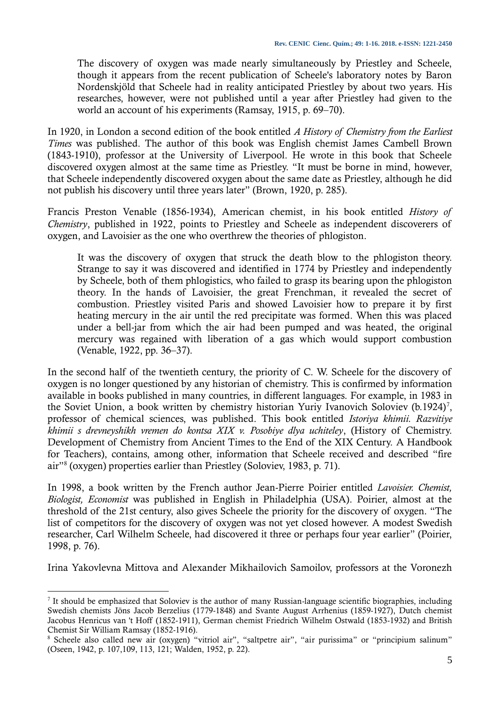The discovery of oxygen was made nearly simultaneously by Priestley and Scheele, though it appears from the recent publication of Scheele's laboratory notes by Baron Nordenskjöld that Scheele had in reality anticipated Priestley by about two years. His researches, however, were not published until a year after Priestley had given to the world an account of his experiments (Ramsay, 1915, p. 69–70).

In 1920, in London a second edition of the book entitled *A History of Chemistry from the Earliest Times* was published. The author of this book was English chemist James Cambell Brown (1843-1910), professor at the University of Liverpool. He wrote in this book that Scheele discovered oxygen almost at the same time as Priestley. "It must be borne in mind, however, that Scheele independently discovered oxygen about the same date as Priestley, although he did not publish his discovery until three years later" (Brown, 1920, p. 285).

Francis Preston Venable (1856-1934), American chemist, in his book entitled *History of Chemistry*, published in 1922, points to Priestley and Scheele as independent discoverers of oxygen, and Lavoisier as the one who overthrew the theories of phlogiston.

It was the discovery of oxygen that struck the death blow to the phlogiston theory. Strange to say it was discovered and identified in 1774 by Priestley and independently by Scheele, both of them phlogistics, who failed to grasp its bearing upon the phlogiston theory. In the hands of Lavoisier, the great Frenchman, it revealed the secret of combustion. Priestley visited Paris and showed Lavoisier how to prepare it by first heating mercury in the air until the red precipitate was formed. When this was placed under a bell-jar from which the air had been pumped and was heated, the original mercury was regained with liberation of a gas which would support combustion (Venable, 1922, pp. 36–37).

In the second half of the twentieth century, the priority of C. W. Scheele for the discovery of oxygen is no longer questioned by any historian of chemistry. This is confirmed by information available in books published in many countries, in different languages. For example, in 1983 in the Soviet Union, a book written by chemistry historian Yuriy Ivanovich Soloviev (b.1924)<sup>7</sup>, professor of chemical sciences, was published. This book entitled *Istoriya khimii. Razvitiye khimii s drevneyshikh vremen do kontsa XIX v. Posobiye dlya uchiteley*, (History of Chemistry. Development of Chemistry from Ancient Times to the End of the XIX Century. A Handbook for Teachers), contains, among other, information that Scheele received and described "fire air"<sup>8</sup> (oxygen) properties earlier than Priestley (Soloviev, 1983, p. 71).

In 1998, a book written by the French author Jean-Pierre Poirier entitled *Lavoisier. Chemist, Biologist, Economist* was published in English in Philadelphia (USA). Poirier, almost at the threshold of the 21st century, also gives Scheele the priority for the discovery of oxygen. "The list of competitors for the discovery of oxygen was not yet closed however. A modest Swedish researcher, Carl Wilhelm Scheele, had discovered it three or perhaps four year earlier" (Poirier, 1998, p. 76).

Irina Yakovlevna Mittova and Alexander Mikhailovich Samoilov, professors at the Voronezh

<sup>7</sup> It should be emphasized that Soloviev is the author of many Russian-language scientific biographies, including Swedish chemists Jöns Jacob Berzelius (1779-1848) and Svante August Arrhenius (1859-1927), Dutch chemist Jacobus Henricus van 't Hoff (1852-1911), German chemist Friedrich Wilhelm Ostwald (1853-1932) and British Chemist Sir William Ramsay (1852-1916).

<sup>8</sup> Scheele also called new air (oxygen) "vitriol air", "saltpetre air", "air purissima" or "principium salinum" (Oseen, 1942, p. 107,109, 113, 121; Walden, 1952, p. 22).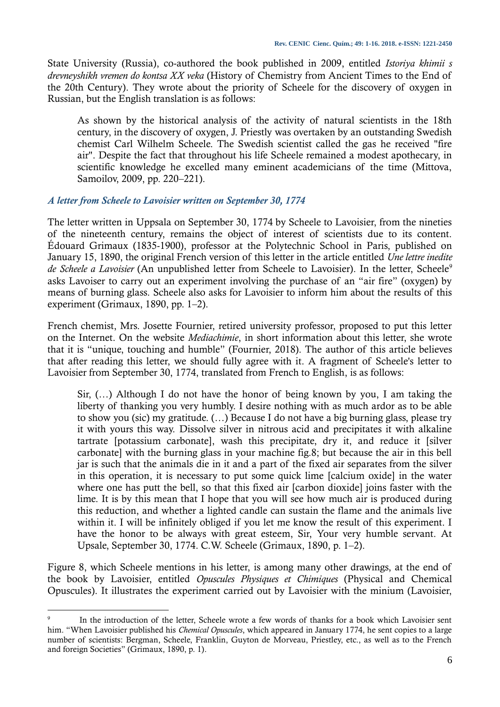State University (Russia), co-authored the book published in 2009, entitled *Istoriya khimii s drevneyshikh vremen do kontsa XX veka* (History of Chemistry from Ancient Times to the End of the 20th Century). They wrote about the priority of Scheele for the discovery of oxygen in Russian, but the English translation is as follows:

As shown by the historical analysis of the activity of natural scientists in the 18th century, in the discovery of oxygen, J. Priestly was overtaken by an outstanding Swedish chemist Carl Wilhelm Scheele. The Swedish scientist called the gas he received "fire air". Despite the fact that throughout his life Scheele remained a modest apothecary, in scientific knowledge he excelled many eminent academicians of the time (Mittova, Samoilov, 2009, pp. 220–221).

### *A letter from Scheele to Lavoisier written on September 30, 1774*

The letter written in Uppsala on September 30, 1774 by Scheele to Lavoisier, from the nineties of the nineteenth century, remains the object of interest of scientists due to its content. Édouard Grimaux (1835-1900), professor at the Polytechnic School in Paris, published on January 15, 1890, the original French version of this letter in the article entitled *Une lettre inedite de Scheele a Lavoisier* (An unpublished letter from Scheele to Lavoisier). In the letter, Scheele<sup>9</sup> asks Lavoiser to carry out an experiment involving the purchase of an "air fire" (oxygen) by means of burning glass. Scheele also asks for Lavoisier to inform him about the results of this experiment (Grimaux, 1890, pp. 1–2).

French chemist, Mrs. Josette Fournier, retired university professor, proposed to put this letter on the Internet. On the website *Mediachimie*, in short information about this letter, she wrote that it is "unique, touching and humble" (Fournier, 2018). The author of this article believes that after reading this letter, we should fully agree with it. A fragment of Scheele's letter to Lavoisier from September 30, 1774, translated from French to English, is as follows:

Sir, (…) Although I do not have the honor of being known by you, I am taking the liberty of thanking you very humbly. I desire nothing with as much ardor as to be able to show you (sic) my gratitude. (…) Because I do not have a big burning glass, please try it with yours this way. Dissolve silver in nitrous acid and precipitates it with alkaline tartrate [potassium carbonate], wash this precipitate, dry it, and reduce it [silver carbonate] with the burning glass in your machine fig.8; but because the air in this bell jar is such that the animals die in it and a part of the fixed air separates from the silver in this operation, it is necessary to put some quick lime [calcium oxide] in the water where one has putt the bell, so that this fixed air [carbon dioxide] joins faster with the lime. It is by this mean that I hope that you will see how much air is produced during this reduction, and whether a lighted candle can sustain the flame and the animals live within it. I will be infinitely obliged if you let me know the result of this experiment. I have the honor to be always with great esteem, Sir, Your very humble servant. At Upsale, September 30, 1774. C.W. Scheele (Grimaux, 1890, p. 1–2).

Figure 8, which Scheele mentions in his letter, is among many other drawings, at the end of the book by Lavoisier, entitled *Opuscules Physiques et Chimiques* (Physical and Chemical Opuscules). It illustrates the experiment carried out by Lavoisier with the minium (Lavoisier,

<sup>9</sup> In the introduction of the letter, Scheele wrote a few words of thanks for a book which Lavoisier sent him. "When Lavoisier published his *Chemical Opuscules*, which appeared in January 1774, he sent copies to a large number of scientists: Bergman, Scheele, Franklin, Guyton de Morveau, Priestley, etc., as well as to the French and foreign Societies" (Grimaux, 1890, p. 1).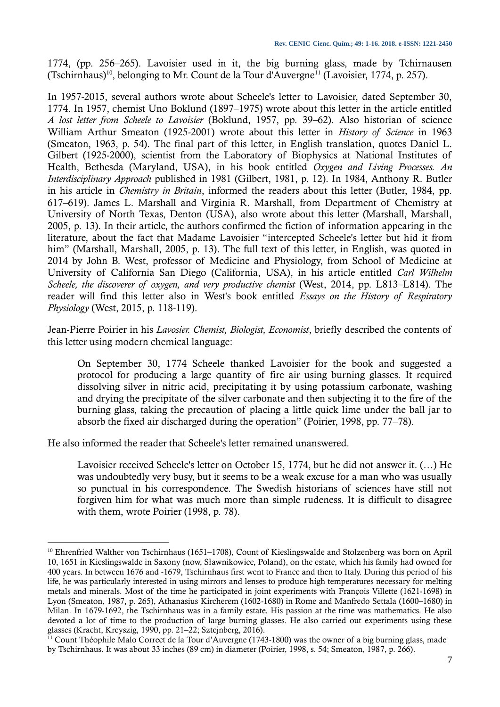1774, (pp. 256–265). Lavoisier used in it, the big burning glass, made by Tchirnausen (Tschirnhaus)<sup>10</sup>, belonging to Mr. Count de la Tour d'Auvergne<sup>11</sup> (Lavoisier, 1774, p. 257).

In 1957-2015, several authors wrote about Scheele's letter to Lavoisier, dated September 30, 1774. In 1957, chemist Uno Boklund (1897–1975) wrote about this letter in the article entitled *A lost letter from Scheele to Lavoisier* (Boklund, 1957, pp. 39–62). Also historian of science William Arthur Smeaton (1925-2001) wrote about this letter in *History of Science* in 1963 (Smeaton, 1963, p. 54). The final part of this letter, in English translation, quotes Daniel L. Gilbert (1925-2000), scientist from the Laboratory of Biophysics at National Institutes of Health, Bethesda (Maryland, USA), in his book entitled *Oxygen and Living Processes. An Interdisciplinary Approach* published in 1981 (Gilbert, 1981, p. 12). In 1984, Anthony R. Butler in his article in *Chemistry in Britain*, informed the readers about this letter (Butler, 1984, pp. 617–619). James L. Marshall and Virginia R. Marshall, from Department of Chemistry at University of North Texas, Denton (USA), also wrote about this letter (Marshall, Marshall, 2005, p. 13). In their article, the authors confirmed the fiction of information appearing in the literature, about the fact that Madame Lavoisier "intercepted Scheele's letter but hid it from him" (Marshall, Marshall, 2005, p. 13). The full text of this letter, in English, was quoted in 2014 by John B. West, professor of Medicine and Physiology, from School of Medicine at University of California San Diego (California, USA), in his article entitled *Carl Wilhelm Scheele, the discoverer of oxygen, and very productive chemist* (West, 2014, pp. L813–L814). The reader will find this letter also in West's book entitled *Essays on the History of Respiratory Physiology* (West, 2015, p. 118-119).

Jean-Pierre Poirier in his *Lavosier. Chemist, Biologist, Economist*, briefly described the contents of this letter using modern chemical language:

On September 30, 1774 Scheele thanked Lavoisier for the book and suggested a protocol for producing a large quantity of fire air using burning glasses. It required dissolving silver in nitric acid, precipitating it by using potassium carbonate, washing and drying the precipitate of the silver carbonate and then subjecting it to the fire of the burning glass, taking the precaution of placing a little quick lime under the ball jar to absorb the fixed air discharged during the operation" (Poirier, 1998, pp. 77–78).

He also informed the reader that Scheele's letter remained unanswered.

<u>.</u>

Lavoisier received Scheele's letter on October 15, 1774, but he did not answer it. (…) He was undoubtedly very busy, but it seems to be a weak excuse for a man who was usually so punctual in his correspondence. The Swedish historians of sciences have still not forgiven him for what was much more than simple rudeness. It is difficult to disagree with them, wrote Poirier (1998, p. 78).

<sup>&</sup>lt;sup>10</sup> Ehrenfried Walther von Tschirnhaus (1651–1708), Count of Kieslingswalde and Stolzenberg was born on April 10, 1651 in Kieslingswalde in Saxony (now, Sławnikowice, Poland), on the estate, which his family had owned for 400 years. In between 1676 and -1679, Tschirnhaus first went to France and then to Italy. During this period of his life, he was particularly interested in using mirrors and lenses to produce high temperatures necessary for melting metals and minerals. Most of the time he participated in joint experiments with François Villette (1621-1698) in Lyon (Smeaton, 1987, p. 265), Athanasius Kircherem (1602-1680) in Rome and Manfredo Settala (1600–1680) in Milan. In 1679-1692, the Tschirnhaus was in a family estate. His passion at the time was mathematics. He also devoted a lot of time to the production of large burning glasses. He also carried out experiments using these glasses (Kracht, Kreyszig, 1990, pp. 21–22; Sztejnberg, 2016).

<sup>&</sup>lt;sup>11</sup> Count Théophile Malo Correct de la Tour d'Auvergne (1743-1800) was the owner of a big burning glass, made by Tschirnhaus. It was about 33 inches (89 cm) in diameter (Poirier, 1998, s. 54; Smeaton, 1987, p. 266).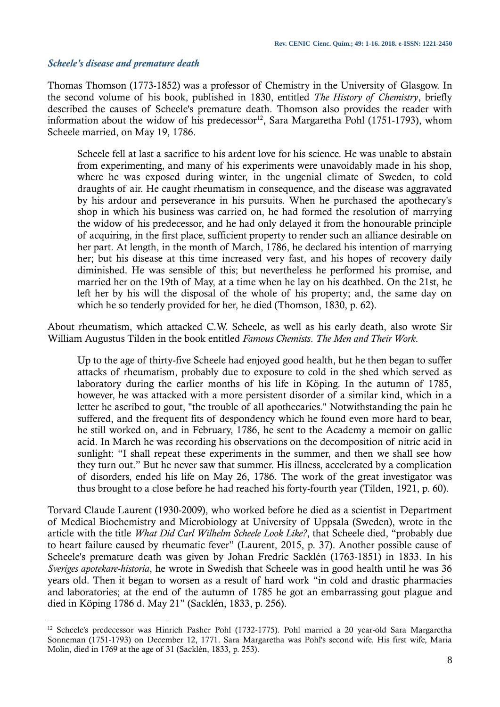#### *Scheele's disease and premature death*

1

Thomas Thomson (1773-1852) was a professor of Chemistry in the University of Glasgow. In the second volume of his book, published in 1830, entitled *The History of Chemistry*, briefly described the causes of Scheele's premature death. Thomson also provides the reader with information about the widow of his predecessor<sup>12</sup>, Sara Margaretha Pohl (1751-1793), whom Scheele married, on May 19, 1786.

Scheele fell at last a sacrifice to his ardent love for his science. He was unable to abstain from experimenting, and many of his experiments were unavoidably made in his shop, where he was exposed during winter, in the ungenial climate of Sweden, to cold draughts of air. He caught rheumatism in consequence, and the disease was aggravated by his ardour and perseverance in his pursuits. When he purchased the apothecary's shop in which his business was carried on, he had formed the resolution of marrying the widow of his predecessor, and he had only delayed it from the honourable principle of acquiring, in the first place, sufficient property to render such an alliance desirable on her part. At length, in the month of March, 1786, he declared his intention of marrying her; but his disease at this time increased very fast, and his hopes of recovery daily diminished. He was sensible of this; but nevertheless he performed his promise, and married her on the 19th of May, at a time when he lay on his deathbed. On the 21st, he left her by his will the disposal of the whole of his property; and, the same day on which he so tenderly provided for her, he died (Thomson, 1830, p. 62).

About rheumatism, which attacked C.W. Scheele, as well as his early death, also wrote Sir William Augustus Tilden in the book entitled *Famous Chemists*. *The Men and Their Work*.

Up to the age of thirty-five Scheele had enjoyed good health, but he then began to suffer attacks of rheumatism, probably due to exposure to cold in the shed which served as laboratory during the earlier months of his life in Köping. In the autumn of 1785, however, he was attacked with a more persistent disorder of a similar kind, which in a letter he ascribed to gout, "the trouble of all apothecaries." Notwithstanding the pain he suffered, and the frequent fits of despondency which he found even more hard to bear, he still worked on, and in February, 1786, he sent to the Academy a memoir on gallic acid. In March he was recording his observations on the decomposition of nitric acid in sunlight: "I shall repeat these experiments in the summer, and then we shall see how they turn out." But he never saw that summer. His illness, accelerated by a complication of disorders, ended his life on May 26, 1786. The work of the great investigator was thus brought to a close before he had reached his forty-fourth year (Tilden, 1921, p. 60).

Torvard Claude Laurent (1930-2009), who worked before he died as a scientist in Department of Medical Biochemistry and Microbiology at University of Uppsala (Sweden), wrote in the article with the title *What Did Carl Wilhelm Scheele Look Like?*, that Scheele died, "probably due to heart failure caused by rheumatic fever" (Laurent, 2015, p. 37). Another possible cause of Scheele's premature death was given by Johan Fredric Sacklén (1763-1851) in 1833. In his *Sveriges apotekare-historia*, he wrote in Swedish that Scheele was in good health until he was 36 years old. Then it began to worsen as a result of hard work "in cold and drastic pharmacies and laboratories; at the end of the autumn of 1785 he got an embarrassing gout plague and died in Köping 1786 d. May 21" (Sacklén, 1833, p. 256).

<sup>12</sup> Scheele's predecessor was Hinrich Pasher Pohl (1732-1775). Pohl married a 20 year-old Sara Margaretha Sonneman (1751-1793) on December 12, 1771. Sara Margaretha was Pohl's second wife. His first wife, Maria Molin, died in 1769 at the age of 31 (Sacklén, 1833, p. 253).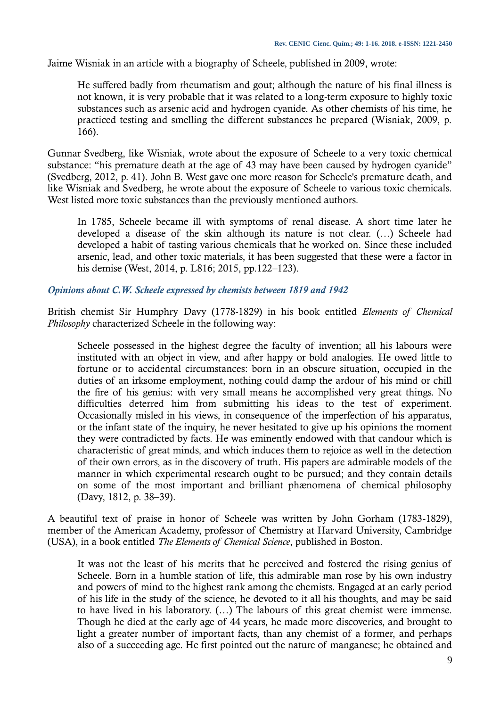Jaime Wisniak in an article with a biography of Scheele, published in 2009, wrote:

He suffered badly from rheumatism and gout; although the nature of his final illness is not known, it is very probable that it was related to a long-term exposure to highly toxic substances such as arsenic acid and hydrogen cyanide. As other chemists of his time, he practiced testing and smelling the different substances he prepared (Wisniak, 2009, p. 166).

Gunnar Svedberg, like Wisniak, wrote about the exposure of Scheele to a very toxic chemical substance: "his premature death at the age of 43 may have been caused by hydrogen cyanide" (Svedberg, 2012, p. 41). John B. West gave one more reason for Scheele's premature death, and like Wisniak and Svedberg, he wrote about the exposure of Scheele to various toxic chemicals. West listed more toxic substances than the previously mentioned authors.

In 1785, Scheele became ill with symptoms of renal disease. A short time later he developed a disease of the skin although its nature is not clear. (…) Scheele had developed a habit of tasting various chemicals that he worked on. Since these included arsenic, lead, and other toxic materials, it has been suggested that these were a factor in his demise (West, 2014, p. L816; 2015, pp.122–123).

# *Opinions about C.W. Scheele expressed by chemists between 1819 and 1942*

British chemist Sir Humphry Davy (1778-1829) in his book entitled *Elements of Chemical Philosophy* characterized Scheele in the following way:

Scheele possessed in the highest degree the faculty of invention; all his labours were instituted with an object in view, and after happy or bold analogies. He owed little to fortune or to accidental circumstances: born in an obscure situation, occupied in the duties of an irksome employment, nothing could damp the ardour of his mind or chill the fire of his genius: with very small means he accomplished very great things. No difficulties deterred him from submitting his ideas to the test of experiment. Occasionally misled in his views, in consequence of the imperfection of his apparatus, or the infant state of the inquiry, he never hesitated to give up his opinions the moment they were contradicted by facts. He was eminently endowed with that candour which is characteristic of great minds, and which induces them to rejoice as well in the detection of their own errors, as in the discovery of truth. His papers are admirable models of the manner in which experimental research ought to be pursued; and they contain details on some of the most important and brilliant phænomena of chemical philosophy (Davy, 1812, p. 38–39).

A beautiful text of praise in honor of Scheele was written by John Gorham (1783-1829), member of the American Academy, professor of Chemistry at Harvard University, Cambridge (USA), in a book entitled *The Elements of Chemical Science*, published in Boston.

It was not the least of his merits that he perceived and fostered the rising genius of Scheele. Born in a humble station of life, this admirable man rose by his own industry and powers of mind to the highest rank among the chemists. Engaged at an early period of his life in the study of the science, he devoted to it all his thoughts, and may be said to have lived in his laboratory. (…) The labours of this great chemist were immense. Though he died at the early age of 44 years, he made more discoveries, and brought to light a greater number of important facts, than any chemist of a former, and perhaps also of a succeeding age. He first pointed out the nature of manganese; he obtained and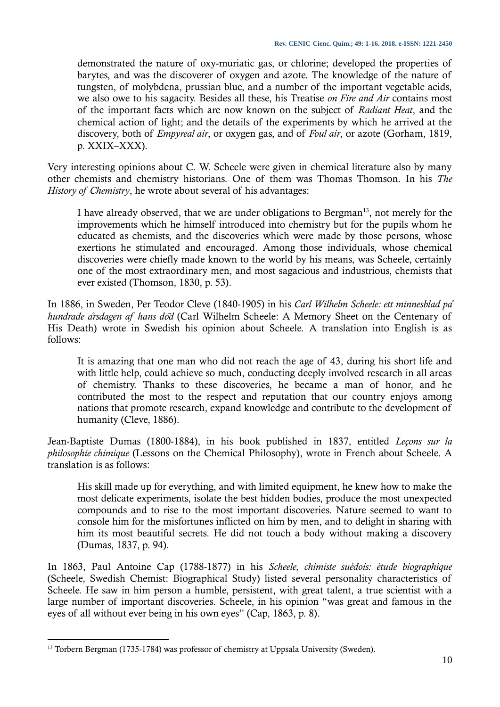demonstrated the nature of oxy-muriatic gas, or chlorine; developed the properties of barytes, and was the discoverer of oxygen and azote. The knowledge of the nature of tungsten, of molybdena, prussian blue, and a number of the important vegetable acids, we also owe to his sagacity. Besides all these, his Treatise *on Fire and Air* contains most of the important facts which are now known on the subject of *Radiant Heat*, and the chemical action of light; and the details of the experiments by which he arrived at the discovery, both of *Empyreal air*, or oxygen gas, and of *Foul air*, or azote (Gorham, 1819, p. XXIX–XXX).

Very interesting opinions about C. W. Scheele were given in chemical literature also by many other chemists and chemistry historians. One of them was Thomas Thomson. In his *The History of Chemistry*, he wrote about several of his advantages:

I have already observed, that we are under obligations to Bergman<sup>13</sup>, not merely for the improvements which he himself introduced into chemistry but for the pupils whom he educated as chemists, and the discoveries which were made by those persons, whose exertions he stimulated and encouraged. Among those individuals, whose chemical discoveries were chiefly made known to the world by his means, was Scheele, certainly one of the most extraordinary men, and most sagacious and industrious, chemists that ever existed (Thomson, 1830, p. 53).

In 1886, in Sweden, Per Teodor Cleve (1840-1905) in his *Carl Wilhelm Scheele: ett minnesblad på hundrade årsdagen af hans död* (Carl Wilhelm Scheele: A Memory Sheet on the Centenary of His Death) wrote in Swedish his opinion about Scheele. A translation into English is as follows:

It is amazing that one man who did not reach the age of 43, during his short life and with little help, could achieve so much, conducting deeply involved research in all areas of chemistry. Thanks to these discoveries, he became a man of honor, and he contributed the most to the respect and reputation that our country enjoys among nations that promote research, expand knowledge and contribute to the development of humanity (Cleve, 1886).

Jean-Baptiste Dumas (1800-1884), in his book published in 1837, entitled *Leçons sur la philosophie chimique* (Lessons on the Chemical Philosophy), wrote in French about Scheele. A translation is as follows:

His skill made up for everything, and with limited equipment, he knew how to make the most delicate experiments, isolate the best hidden bodies, produce the most unexpected compounds and to rise to the most important discoveries. Nature seemed to want to console him for the misfortunes inflicted on him by men, and to delight in sharing with him its most beautiful secrets. He did not touch a body without making a discovery (Dumas, 1837, p. 94).

In 1863, Paul Antoine Cap (1788-1877) in his *Scheele, chimiste suédois: étude biographique* (Scheele, Swedish Chemist: Biographical Study) listed several personality characteristics of Scheele. He saw in him person a humble, persistent, with great talent, a true scientist with a large number of important discoveries. Scheele, in his opinion "was great and famous in the eyes of all without ever being in his own eyes" (Cap, 1863, p. 8).

<sup>&</sup>lt;sup>13</sup> Torbern Bergman (1735-1784) was professor of chemistry at Uppsala University (Sweden).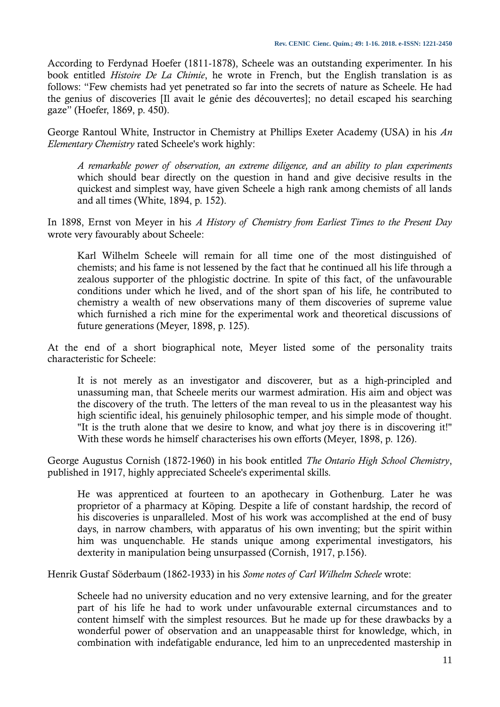According to Ferdynad Hoefer (1811-1878), Scheele was an outstanding experimenter. In his book entitled *Histoire De La Chimie*, he wrote in French, but the English translation is as follows: "Few chemists had yet penetrated so far into the secrets of nature as Scheele. He had the genius of discoveries [Il avait le génie des découvertes]; no detail escaped his searching gaze" (Hoefer, 1869, p. 450).

George Rantoul White, Instructor in Chemistry at Phillips Exeter Academy (USA) in his *An Elementary Chemistry* rated Scheele's work highly:

*A remarkable power of observation, an extreme diligence, and an ability to plan experiments* which should bear directly on the question in hand and give decisive results in the quickest and simplest way, have given Scheele a high rank among chemists of all lands and all times (White, 1894, p. 152).

In 1898, Ernst von Meyer in his *A History of Chemistry from Earliest Times to the Present Day* wrote very favourably about Scheele:

Karl Wilhelm Scheele will remain for all time one of the most distinguished of chemists; and his fame is not lessened by the fact that he continued all his life through a zealous supporter of the phlogistic doctrine. In spite of this fact, of the unfavourable conditions under which he lived, and of the short span of his life, he contributed to chemistry a wealth of new observations many of them discoveries of supreme value which furnished a rich mine for the experimental work and theoretical discussions of future generations (Meyer, 1898, p. 125).

At the end of a short biographical note, Meyer listed some of the personality traits characteristic for Scheele:

It is not merely as an investigator and discoverer, but as a high-principled and unassuming man, that Scheele merits our warmest admiration. His aim and object was the discovery of the truth. The letters of the man reveal to us in the pleasantest way his high scientific ideal, his genuinely philosophic temper, and his simple mode of thought. "It is the truth alone that we desire to know, and what joy there is in discovering it!" With these words he himself characterises his own efforts (Meyer, 1898, p. 126).

George Augustus Cornish (1872-1960) in his book entitled *The Ontario High School Chemistry*, published in 1917, highly appreciated Scheele's experimental skills.

He was apprenticed at fourteen to an apothecary in Gothenburg. Later he was proprietor of a pharmacy at Köping. Despite a life of constant hardship, the record of his discoveries is unparalleled. Most of his work was accomplished at the end of busy days, in narrow chambers, with apparatus of his own inventing; but the spirit within him was unquenchable. He stands unique among experimental investigators, his dexterity in manipulation being unsurpassed (Cornish, 1917, p.156).

Henrik Gustaf Söderbaum (1862-1933) in his *Some notes of Carl Wilhelm Scheele* wrote:

Scheele had no university education and no very extensive learning, and for the greater part of his life he had to work under unfavourable external circumstances and to content himself with the simplest resources. But he made up for these drawbacks by a wonderful power of observation and an unappeasable thirst for knowledge, which, in combination with indefatigable endurance, led him to an unprecedented mastership in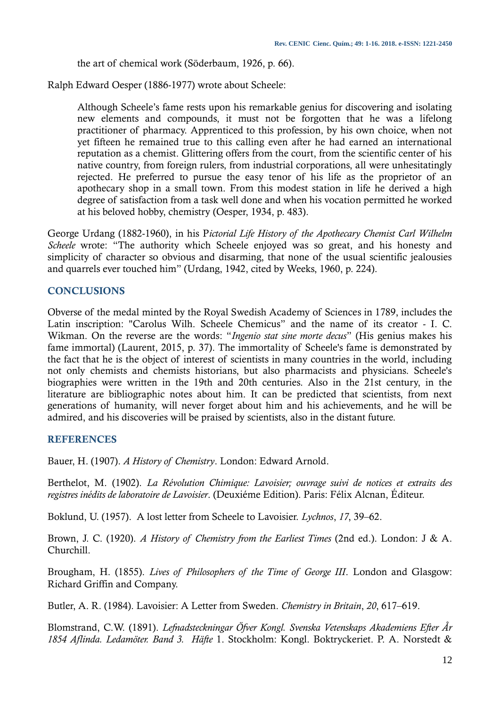the art of chemical work (Söderbaum, 1926, p. 66).

Ralph Edward Oesper (1886-1977) wrote about Scheele:

Although Scheele's fame rests upon his remarkable genius for discovering and isolating new elements and compounds, it must not be forgotten that he was a lifelong practitioner of pharmacy. Apprenticed to this profession, by his own choice, when not yet fifteen he remained true to this calling even after he had earned an international reputation as a chemist. Glittering offers from the court, from the scientific center of his native country, from foreign rulers, from industrial corporations, all were unhesitatingly rejected. He preferred to pursue the easy tenor of his life as the proprietor of an apothecary shop in a small town. From this modest station in life he derived a high degree of satisfaction from a task well done and when his vocation permitted he worked at his beloved hobby, chemistry (Oesper, 1934, p. 483).

George Urdang (1882-1960), in his P*ictorial Life History of the Apothecary Chemist Carl Wilhelm Scheele* wrote: "The authority which Scheele enjoyed was so great, and his honesty and simplicity of character so obvious and disarming, that none of the usual scientific jealousies and quarrels ever touched him" (Urdang, 1942, cited by Weeks, 1960, p. 224).

# **CONCLUSIONS**

Obverse of the medal minted by the Royal Swedish Academy of Sciences in 1789, includes the Latin inscription: "Carolus Wilh. Scheele Chemicus" and the name of its creator - I. C. Wikman. On the reverse are the words: "*Ingenio stat sine morte decus*" (His genius makes his fame immortal) (Laurent, 2015, p. 37). The immortality of Scheele's fame is demonstrated by the fact that he is the object of interest of scientists in many countries in the world, including not only chemists and chemists historians, but also pharmacists and physicians. Scheele's biographies were written in the 19th and 20th centuries. Also in the 21st century, in the literature are bibliographic notes about him. It can be predicted that scientists, from next generations of humanity, will never forget about him and his achievements, and he will be admired, and his discoveries will be praised by scientists, also in the distant future.

### **REFERENCES**

Bauer, H. (1907). *A History of Chemistry*. London: Edward Arnold.

Berthelot, M. (1902). *La Révolution Chimique: Lavoisier; ouvrage suivi de notices et extraits des registres inédits de laboratoire de Lavoisier*. (Deuxiéme Edition). Paris: Félix Alcnan, Éditeur.

Boklund, U. (1957). A lost letter from Scheele to Lavoisier. *Lychnos*, *17*, 39–62.

Brown, J. C. (1920). *A History of Chemistry from the Earliest Times* (2nd ed.). London: J & A. Churchill.

Brougham, H. (1855). *Lives of Philosophers of the Time of George III*. London and Glasgow: Richard Griffin and Company.

Butler, A. R. (1984). Lavoisier: A Letter from Sweden. *Chemistry in Britain*, *20*, 617–619.

Blomstrand, C.W. (1891). *Lefnadsteckningar Öfver Kongl. Svenska Vetenskaps Akademiens Efter År 1854 Aflinda. Ledamöter. Band 3. Häfte* 1. Stockholm: Kongl. Boktryckeriet. P. A. Norstedt &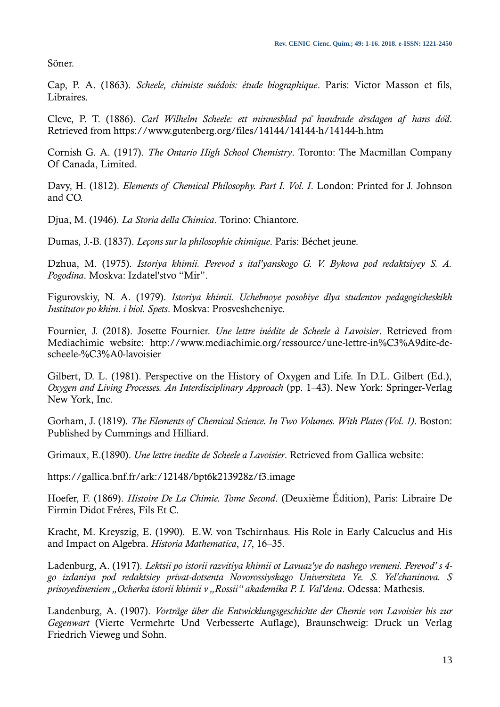Söner.

Cap, P. A. (1863). *Scheele, chimiste suédois: étude biographique*. Paris: Victor Masson et fils, Libraires.

Cleve, P. T. (1886). *Carl Wilhelm Scheele: ett minnesblad på hundrade årsdagen af hans död*. Retrieved from<https://www.gutenberg.org/files/14144/14144-h/14144-h.htm>

Cornish G. A. (1917). *The Ontario High School Chemistry*. Toronto: The Macmillan Company Of Canada, Limited.

Davy, H. (1812). *Elements of Chemical Philosophy. Part I. Vol. I*. London: Printed for J. Johnson and CO.

Djua, M. (1946). *La Storia della Chimica*. Torino: Chiantore.

Dumas, J.-B. (1837). *Leçons sur la philosophie chimique*. Paris: Béchet jeune.

Dzhua, M. (1975). *Istoriya khimii. Perevod s ital'yanskogo G. V. Bykova pod redaktsiyey S. A. Pogodina*. Moskva: Izdatel'stvo "Mir".

Figurovskiy, N. A. (1979). *Istoriya khimii. Uchebnoye posobiye dlya studentov pedagogicheskikh Institutov po khim. i biol. Spets*. Moskva: Prosveshcheniye.

Fournier, J. (2018). Josette Fournier. *Une lettre inédite de Scheele à Lavoisier*. Retrieved from Mediachimie website: [http://www.mediachimie.org/ressource/une-lettre-in%C3%A9dite-de](http://www.mediachimie.org/ressource/une-lettre-inédite-de-scheele-à-lavoisier)[scheele-%C3%A0-lavoisier](http://www.mediachimie.org/ressource/une-lettre-inédite-de-scheele-à-lavoisier)

Gilbert, D. L. (1981). Perspective on the History of Oxygen and Life. In D.L. Gilbert (Ed.), *Oxygen and Living Processes. An Interdisciplinary Approach* (pp. 1–43). New York: Springer-Verlag New York, Inc.

Gorham, J. (1819). *The Elements of Chemical Science. In Two Volumes. With Plates (Vol. 1)*. Boston: Published by Cummings and Hilliard.

Grimaux, E.(1890). *Une lettre inedite de Scheele a Lavoisier*. Retrieved from Gallica website:

https://gallica.bnf.fr/ark:/12148/bpt6k213928z/f3.image

Hoefer, F. (1869). *Histoire De La Chimie. Tome Second*. (Deuxième Édition), Paris: Libraire De Firmin Didot Fréres, Fils Et C.

Kracht, M. Kreyszig, E. (1990). E.W. von Tschirnhaus. His Role in Early Calcuclus and His and Impact on Algebra. *Historia Mathematica*, *17*, 16–35.

Ladenburg, A. (1917). *Lektsii po istorii razvitiya khimii ot Lavuaz'ye do nashego vremeni. Perevod' s 4 go izdaniya pod redaktsiey privat-dotsenta Novorossiyskago Universiteta Ye. S. Yel'chaninova. S prisoyedineniem "Ocherka istorii khimii v "Rossii" akademika P. I. Val'dena*. Odessa: Mathesis.

Landenburg, A. (1907). *Vorträge über die Entwicklungsgeschichte der Chemie von Lavoisier bis zur Gegenwart* (Vierte Vermehrte Und Verbesserte Auflage), Braunschweig: Druck un Verlag Friedrich Vieweg und Sohn.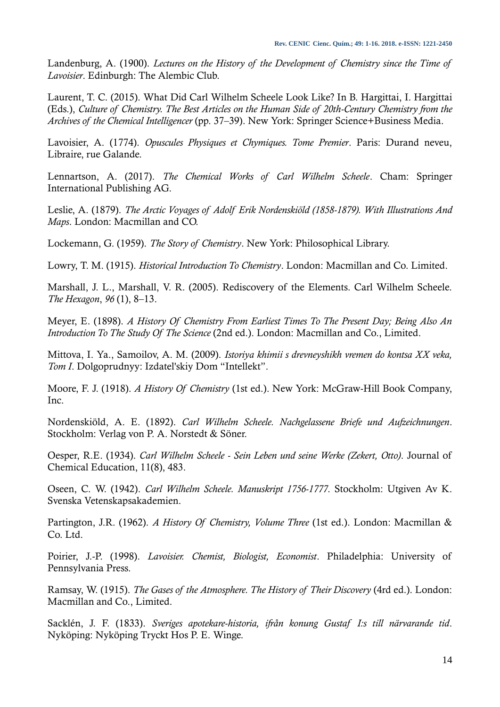Landenburg, A. (1900). *Lectures on the History of the Development of Chemistry since the Time of Lavoisier*. Edinburgh: The Alembic Club.

Laurent, T. C. (2015). What Did Carl Wilhelm Scheele Look Like? In B. Hargittai, I. Hargittai (Eds.), *Culture of Chemistry. The Best Articles on the Human Side of 20th-Century Chemistry from the Archives of the Chemical Intelligencer* (pp. 37–39). New York: Springer Science+Business Media.

Lavoisier, A. (1774). *Opuscules Physiques et Chymiques. Tome Premier*. Paris: Durand neveu, Libraire, rue Galande.

Lennartson, A. (2017). *The Chemical Works of Carl Wilhelm Scheele*. Cham: Springer International Publishing AG.

Leslie, A. (1879). *The Arctic Voyages of Adolf Erik Nordenskiöld (1858-1879). With Illustrations And Maps*. London: Macmillan and CO.

Lockemann, G. (1959). *The Story of Chemistry*. New York: Philosophical Library.

Lowry, T. M. (1915). *Historical Introduction To Chemistry*. London: Macmillan and Co. Limited.

Marshall, J. L., Marshall, V. R. (2005). Rediscovery of the Elements. Carl Wilhelm Scheele. *The Hexagon*, *96* (1), 8–13.

Meyer, E. (1898). *A History Of Chemistry From Earliest Times To The Present Day; Being Also An Introduction To The Study Of The Science* (2nd ed.). London: Macmillan and Co., Limited.

Mittova, I. Ya., Samoilov, A. M. (2009). *Istoriya khimii s drevneyshikh vremen do kontsa XX veka, Tom I*. Dolgoprudnyy: Izdatel'skiy Dom "Intellekt".

Moore, F. J. (1918). *A History Of Chemistry* (1st ed.). New York: McGraw-Hill Book Company, Inc.

Nordenskiöld, A. E. (1892). *Carl Wilhelm Scheele. Nachgelassene Briefe und Aufzeichnungen*. Stockholm: Verlag von P. A. Norstedt & Söner.

Oesper, R.E. (1934). *Carl Wilhelm Scheele - Sein Leben und seine Werke (Zekert, Otto)*. Journal of Chemical Education, 11(8), 483.

Oseen, C. W. (1942). *Carl Wilhelm Scheele. Manuskript 1756-1777*. Stockholm: Utgiven Av K. Svenska Vetenskapsakademien.

Partington, J.R. (1962). *A History Of Chemistry, Volume Three* (1st ed.). London: Macmillan & Co. Ltd.

Poirier, J.-P. (1998). *Lavoisier. Chemist, Biologist, Economist*. Philadelphia: University of Pennsylvania Press.

Ramsay, W. (1915). *The Gases of the Atmosphere. The History of Their Discovery* (4rd ed.). London: Macmillan and Co., Limited.

Sacklén, J. F. (1833). *Sveriges apotekare-historia, ifrån konung Gustaf I:s till närvarande tid*. Nyköping: Nyköping Tryckt Hos P. E. Winge.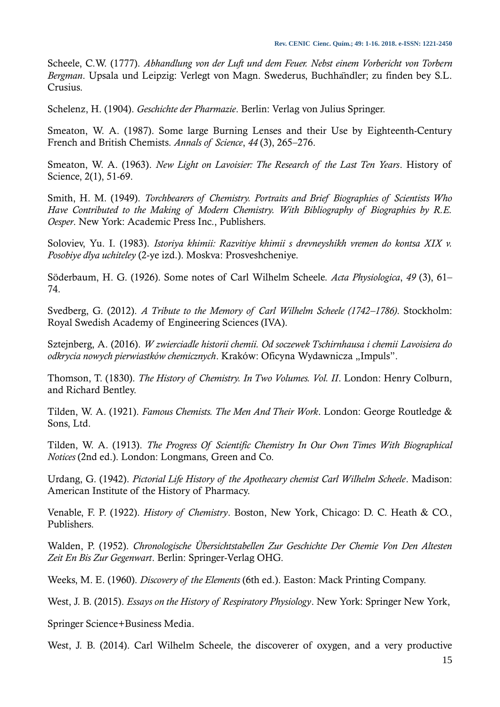Scheele, C.W. (1777). *Abhandlung von der Luft und dem Feuer. Nebst einem Vorbericht von Torbern Bergman*. Upsala und Leipzig: Verlegt von Magn. Swederus, Buchhändler; zu finden bey S.L. Crusius.

Schelenz, H. (1904). *Geschichte der Pharmazie*. Berlin: Verlag von Julius Springer.

Smeaton, W. A. (1987). Some large Burning Lenses and their Use by Eighteenth-Century French and British Chemists. *Annals of Science*, *44* (3), 265–276.

Smeaton, W. A. (1963). *New Light on Lavoisier: The Research of the Last Ten Years*. History of Science, 2(1), 51-69.

Smith, H. M. (1949). *Torchbearers of Chemistry. Portraits and Brief Biographies of Scientists Who Have Contributed to the Making of Modern Chemistry. With Bibliography of Biographies by R.E. Oesper*. New York: Academic Press Inc., Publishers.

Soloviev, Yu. I. (1983). *Istoriya khimii: Razvitiye khimii s drevneyshikh vremen do kontsa XIX v. Posobiye dlya uchiteley* (2-ye izd.). Moskva: Prosveshcheniye.

Söderbaum, H. G. (1926). Some notes of Carl Wilhelm Scheele. *Acta Physiologica*, *49* (3), 61– 74.

Svedberg, G. (2012). *A Tribute to the Memory of Carl Wilhelm Scheele (1742–1786)*. Stockholm: Royal Swedish Academy of Engineering Sciences (IVA).

Sztejnberg, A. (2016). *W zwierciadle historii chemii. Od soczewek Tschirnhausa i chemii Lavoisiera do odkrycia nowych pierwiastków chemicznych*. Kraków: Oficyna Wydawnicza "Impuls".

Thomson, T. (1830). *The History of Chemistry. In Two Volumes. Vol. II*. London: Henry Colburn, and Richard Bentley.

Tilden, W. A. (1921). *Famous Chemists. The Men And Their Work*. London: George Routledge & Sons, Ltd.

Tilden, W. A. (1913). *The Progress Of Scientific Chemistry In Our Own Times With Biographical Notices* (2nd ed.). London: Longmans, Green and Co.

Urdang, G. (1942). *Pictorial Life History of the Apothecary chemist Carl Wilhelm Scheele*. Madison: American Institute of the History of Pharmacy.

Venable, F. P. (1922). *History of Chemistry*. Boston, New York, Chicago: D. C. Heath & CO., Publishers.

Walden, P. (1952). *Chronologische Übersichtstabellen Zur Geschichte Der Chemie Von Den Altesten Zeit En Bis Zur Gegenwart*. Berlin: Springer-Verlag OHG.

Weeks, M. E. (1960). *Discovery of the Elements* (6th ed.). Easton: Mack Printing Company.

West, J. B. (2015). *Essays on the History of Respiratory Physiology*. New York: Springer New York,

Springer Science+Business Media.

West, J. B. (2014). Carl Wilhelm Scheele, the discoverer of oxygen, and a very productive